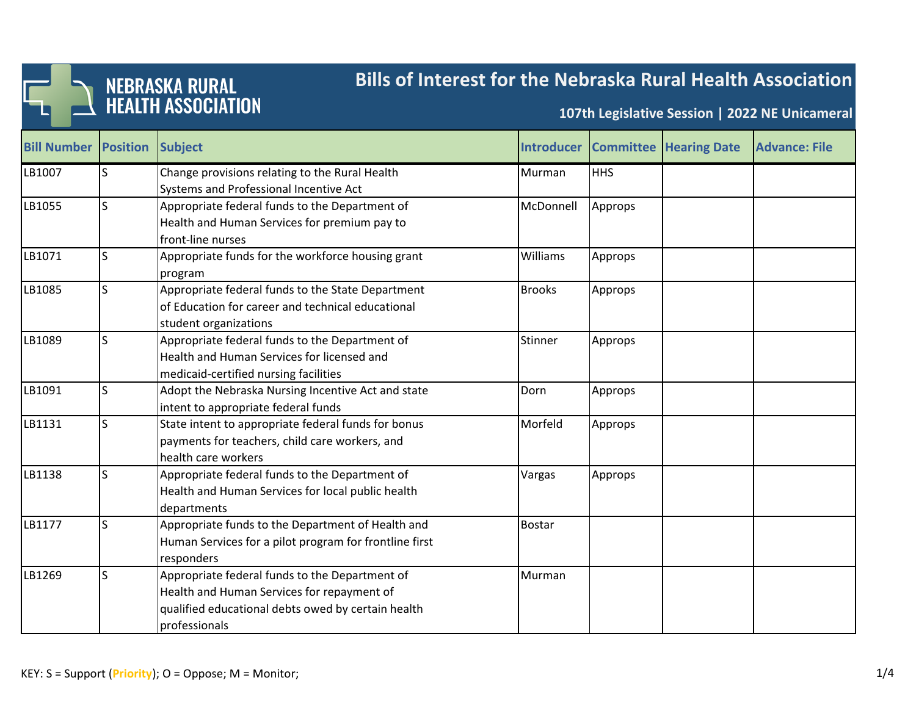

## **Bills of Interest for the Nebraska Rural Health Association**

**107th Legislative Session | 2022 NE Unicameral**

| <b>Bill Number Position</b> |   | Subject                                                |                 |            | <b>Introducer Committee Hearing Date</b> | <b>Advance: File</b> |
|-----------------------------|---|--------------------------------------------------------|-----------------|------------|------------------------------------------|----------------------|
| LB1007                      | S | Change provisions relating to the Rural Health         | Murman          | <b>HHS</b> |                                          |                      |
|                             |   | Systems and Professional Incentive Act                 |                 |            |                                          |                      |
| LB1055                      | S | Appropriate federal funds to the Department of         | McDonnell       | Approps    |                                          |                      |
|                             |   | Health and Human Services for premium pay to           |                 |            |                                          |                      |
|                             |   | front-line nurses                                      |                 |            |                                          |                      |
| LB1071                      | S | Appropriate funds for the workforce housing grant      | <b>Williams</b> | Approps    |                                          |                      |
|                             |   | program                                                |                 |            |                                          |                      |
| LB1085                      | S | Appropriate federal funds to the State Department      | <b>Brooks</b>   | Approps    |                                          |                      |
|                             |   | of Education for career and technical educational      |                 |            |                                          |                      |
|                             |   | student organizations                                  |                 |            |                                          |                      |
| LB1089                      | S | Appropriate federal funds to the Department of         | Stinner         | Approps    |                                          |                      |
|                             |   | Health and Human Services for licensed and             |                 |            |                                          |                      |
|                             |   | medicaid-certified nursing facilities                  |                 |            |                                          |                      |
| LB1091                      | S | Adopt the Nebraska Nursing Incentive Act and state     | Dorn            | Approps    |                                          |                      |
|                             |   | intent to appropriate federal funds                    |                 |            |                                          |                      |
| LB1131                      | S | State intent to appropriate federal funds for bonus    | Morfeld         | Approps    |                                          |                      |
|                             |   | payments for teachers, child care workers, and         |                 |            |                                          |                      |
|                             |   | health care workers                                    |                 |            |                                          |                      |
| LB1138                      | S | Appropriate federal funds to the Department of         | Vargas          | Approps    |                                          |                      |
|                             |   | Health and Human Services for local public health      |                 |            |                                          |                      |
|                             |   | departments                                            |                 |            |                                          |                      |
| LB1177                      | S | Appropriate funds to the Department of Health and      | <b>Bostar</b>   |            |                                          |                      |
|                             |   | Human Services for a pilot program for frontline first |                 |            |                                          |                      |
|                             |   | responders                                             |                 |            |                                          |                      |
| LB1269                      | S | Appropriate federal funds to the Department of         | Murman          |            |                                          |                      |
|                             |   | Health and Human Services for repayment of             |                 |            |                                          |                      |
|                             |   | qualified educational debts owed by certain health     |                 |            |                                          |                      |
|                             |   | professionals                                          |                 |            |                                          |                      |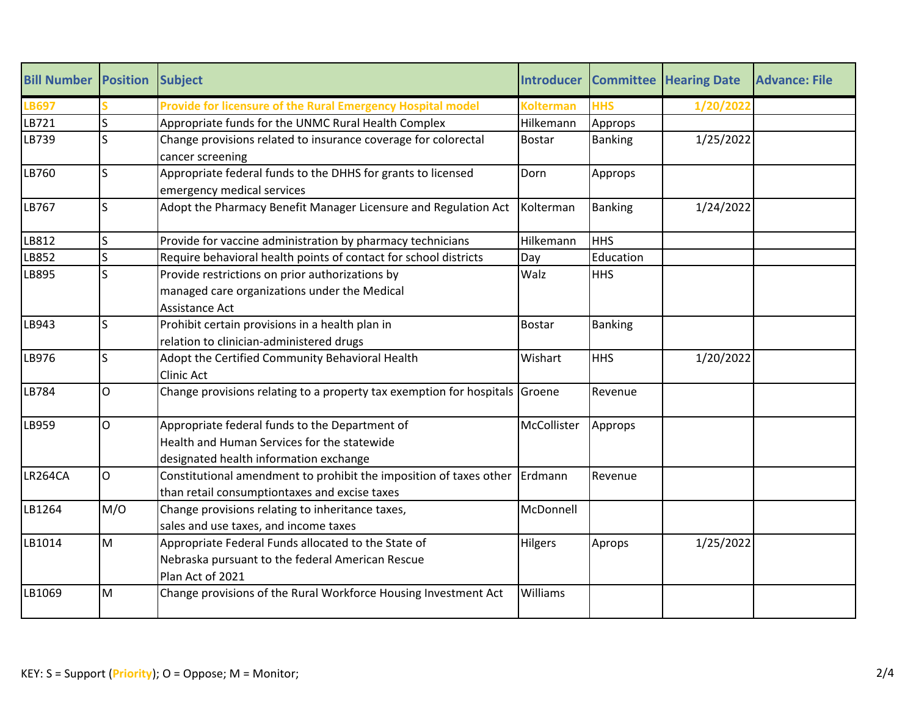| <b>Bill Number</b> | <b>Position</b> | <b>Subject</b>                                                       | <b>Introducer</b> | <b>Committee</b> | <b>Hearing Date</b> | <b>Advance: File</b> |
|--------------------|-----------------|----------------------------------------------------------------------|-------------------|------------------|---------------------|----------------------|
| <b>LB697</b>       |                 | Provide for licensure of the Rural Emergency Hospital model          | <b>Kolterman</b>  | <b>HHS</b>       | 1/20/2022           |                      |
| LB721              | Ś               | Appropriate funds for the UNMC Rural Health Complex                  | Hilkemann         | Approps          |                     |                      |
| LB739              | S               | Change provisions related to insurance coverage for colorectal       | <b>Bostar</b>     | <b>Banking</b>   | 1/25/2022           |                      |
|                    |                 | cancer screening                                                     |                   |                  |                     |                      |
| LB760              | S               | Appropriate federal funds to the DHHS for grants to licensed         | Dorn              | Approps          |                     |                      |
|                    |                 | emergency medical services                                           |                   |                  |                     |                      |
| LB767              | S               | Adopt the Pharmacy Benefit Manager Licensure and Regulation Act      | Kolterman         | <b>Banking</b>   | 1/24/2022           |                      |
| LB812              | S               | Provide for vaccine administration by pharmacy technicians           | Hilkemann         | <b>HHS</b>       |                     |                      |
| LB852              | S               | Require behavioral health points of contact for school districts     | Day               | Education        |                     |                      |
| LB895              | S               | Provide restrictions on prior authorizations by                      | Walz              | <b>HHS</b>       |                     |                      |
|                    |                 | managed care organizations under the Medical                         |                   |                  |                     |                      |
|                    |                 | Assistance Act                                                       |                   |                  |                     |                      |
| LB943              | S               | Prohibit certain provisions in a health plan in                      | <b>Bostar</b>     | <b>Banking</b>   |                     |                      |
|                    |                 | relation to clinician-administered drugs                             |                   |                  |                     |                      |
| LB976              | S               | Adopt the Certified Community Behavioral Health                      | Wishart           | <b>HHS</b>       | 1/20/2022           |                      |
|                    |                 | Clinic Act                                                           |                   |                  |                     |                      |
| LB784              | $\mathsf{O}$    | Change provisions relating to a property tax exemption for hospitals | Groene            | Revenue          |                     |                      |
| LB959              | $\mathsf{O}$    | Appropriate federal funds to the Department of                       | McCollister       | Approps          |                     |                      |
|                    |                 | Health and Human Services for the statewide                          |                   |                  |                     |                      |
|                    |                 | designated health information exchange                               |                   |                  |                     |                      |
| LR264CA            | $\overline{O}$  | Constitutional amendment to prohibit the imposition of taxes other   | Erdmann           | Revenue          |                     |                      |
|                    |                 | than retail consumptiontaxes and excise taxes                        |                   |                  |                     |                      |
| LB1264             | M/O             | Change provisions relating to inheritance taxes,                     | McDonnell         |                  |                     |                      |
|                    |                 | sales and use taxes, and income taxes                                |                   |                  |                     |                      |
| LB1014             | M               | Appropriate Federal Funds allocated to the State of                  | Hilgers           | Aprops           | 1/25/2022           |                      |
|                    |                 | Nebraska pursuant to the federal American Rescue                     |                   |                  |                     |                      |
|                    |                 | Plan Act of 2021                                                     |                   |                  |                     |                      |
| LB1069             | M               | Change provisions of the Rural Workforce Housing Investment Act      | Williams          |                  |                     |                      |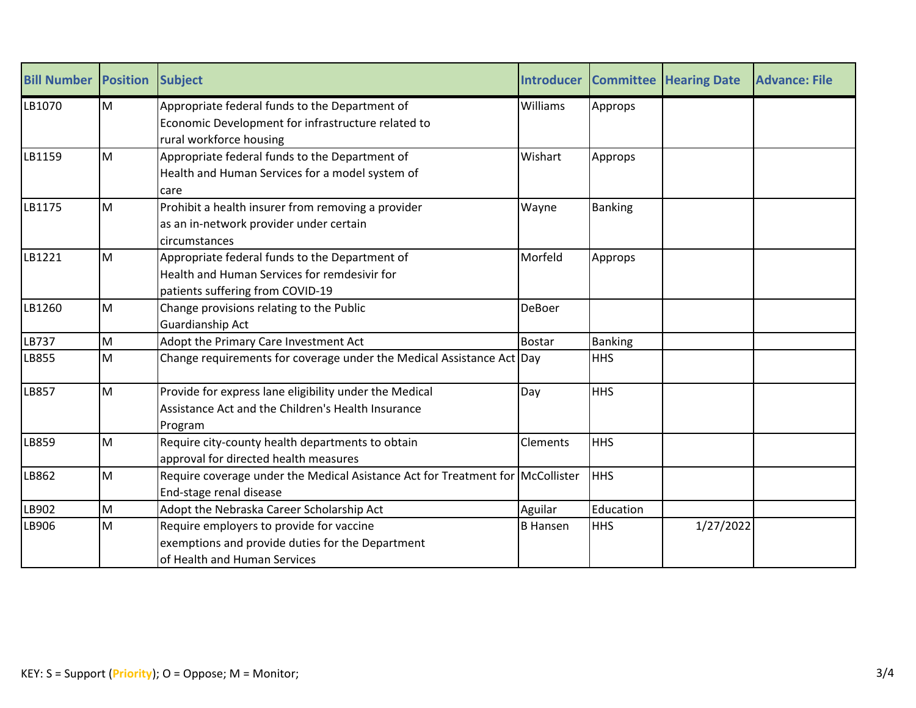| <b>Bill Number Position</b> |   | <b>Subject</b>                                                                                                                     | <b>Introducer</b> |                | <b>Committee Hearing Date</b> | <b>Advance: File</b> |
|-----------------------------|---|------------------------------------------------------------------------------------------------------------------------------------|-------------------|----------------|-------------------------------|----------------------|
| LB1070                      | M | Appropriate federal funds to the Department of<br>Economic Development for infrastructure related to<br>rural workforce housing    | <b>Williams</b>   | Approps        |                               |                      |
| LB1159                      | M | Appropriate federal funds to the Department of<br>Health and Human Services for a model system of<br>care                          | Wishart           | Approps        |                               |                      |
| LB1175                      | M | Prohibit a health insurer from removing a provider<br>as an in-network provider under certain<br>circumstances                     | Wayne             | <b>Banking</b> |                               |                      |
| LB1221                      | M | Appropriate federal funds to the Department of<br>Health and Human Services for remdesivir for<br>patients suffering from COVID-19 | Morfeld           | Approps        |                               |                      |
| LB1260                      | M | Change provisions relating to the Public<br>Guardianship Act                                                                       | <b>DeBoer</b>     |                |                               |                      |
| <b>LB737</b>                | M | Adopt the Primary Care Investment Act                                                                                              | <b>Bostar</b>     | <b>Banking</b> |                               |                      |
| LB855                       | M | Change requirements for coverage under the Medical Assistance Act $\vert$ Day                                                      |                   | <b>HHS</b>     |                               |                      |
| LB857                       | M | Provide for express lane eligibility under the Medical<br>Assistance Act and the Children's Health Insurance<br>Program            | Day               | <b>HHS</b>     |                               |                      |
| LB859                       | M | Require city-county health departments to obtain<br>approval for directed health measures                                          | Clements          | <b>HHS</b>     |                               |                      |
| LB862                       | M | Require coverage under the Medical Asistance Act for Treatment for McCollister<br>End-stage renal disease                          |                   | <b>HHS</b>     |                               |                      |
| LB902                       | M | Adopt the Nebraska Career Scholarship Act                                                                                          | Aguilar           | Education      |                               |                      |
| LB906                       | M | Require employers to provide for vaccine<br>exemptions and provide duties for the Department<br>of Health and Human Services       | <b>B</b> Hansen   | <b>HHS</b>     | 1/27/2022                     |                      |